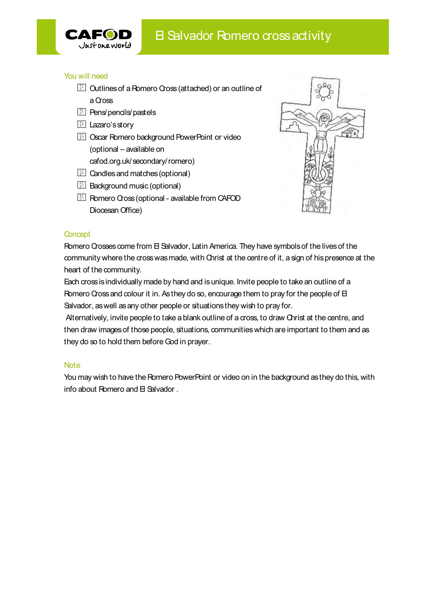

- **CAFOD** B Salvador Romero cross activit<br>
You will need<br> **EXALTOD** CONSIDERED BY SALVING YOU WILL need<br> **EXALUATE:**<br>
A COSS<br> **EXALUATE:**<br> **EXALUATE:**<br> **EXALUATE:**<br> **EXALUATE:**<br> **EXALUATE:**<br> **EXALUATE:**<br> **EXALUATE:**<br> **EXALUA** 
	- **B** Pens/pencils/pastels
	- **E** Lazaro's story
	- cafod.org.uk/secondary/romero)
	-
	-
	-



## **Concept**

model and the community of the community and the community of the community of the community of the community of the community of the community where the conservation of the community where the conservation of the communit El Lazaro's story<br>
(contractions decay ound PowerPoint or video<br>
(contractions)<br>
(contractions)<br>
(contractions)<br>
(contractions)<br>
(contractions)<br>
(contractions)<br>
(Concest)<br>
Concest<br>
Concest or situations (coptional - ava Ell Oscar Romero background PowerPoint or video<br>
(optional – available on<br>
and dorg uk/secondary/romero)<br>
and the sand matches (optional)<br>
<br>
Background music (optional)<br>
<br>
Background music (optional)<br>
Diocessn Office)<br>
D (optional – available on<br>
Ein Candles and matches (optional)<br>
Ein Candles and matches (optional)<br>
(Ein Candles optional)<br>
(Ein Frenco Coss coptional - available from CAFOD<br>
Diocesan Office)<br>
Concept<br>
Concept<br>
Concept<br>
Con they do so to hold them before God in prayer. The Cross (optional - available from CAFOD<br>
Diocesan Office)<br>
Diocesan Office)<br>
Discrept<br>
Romero Crosses come from El Salvador, Latin America. They have symbols of the lives of the<br>
community where the cross was made, with Diocesan Office)<br> **Concept**<br> **Romero Cossess come from El Salvador, Latin America. They have symbols of the lives of the<br>
community where the cross was made, with Orini at the centre of it, a sign of his presence at the<br>
h** 

## **Note**